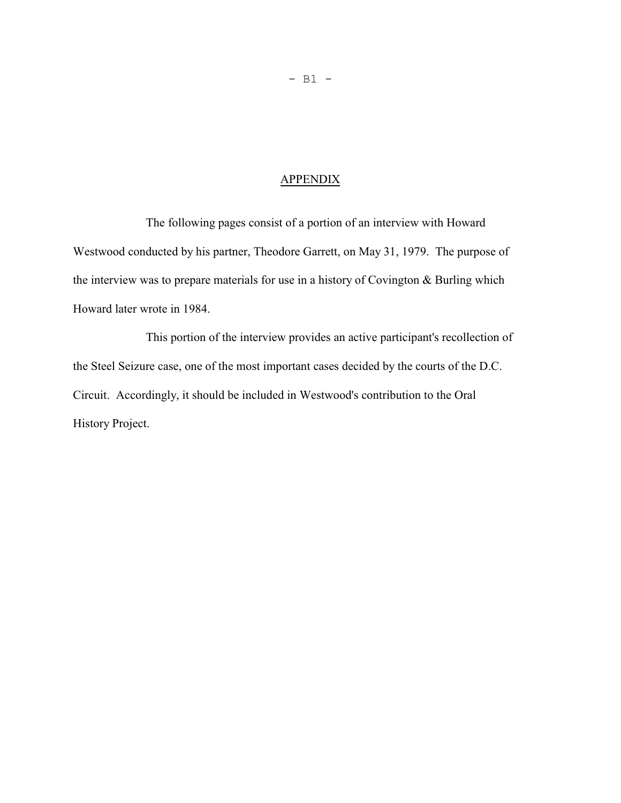## APPENDIX

The following pages consist of a portion of an interview with Howard Westwood conducted by his partner, Theodore Garrett, on May 31, 1979. The purpose of the interview was to prepare materials for use in a history of Covington & Burling which Howard later wrote in 1984.

This portion of the interview provides an active participant's recollection of the Steel Seizure case, one of the most important cases decided by the courts of the D.C. Circuit. Accordingly, it should be included in Westwood's contribution to the Oral History Project.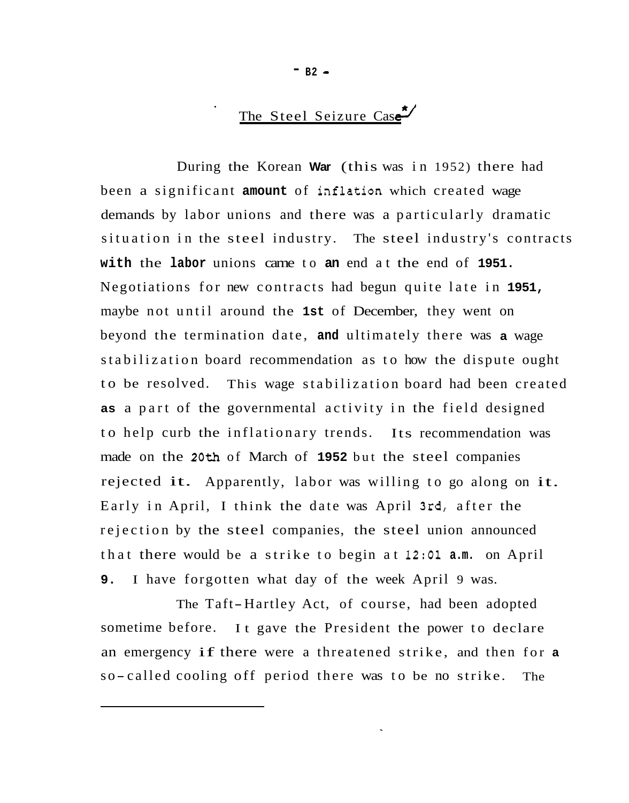## The Steel Seizure Case<sup>\*</sup>

During the Korean **War** (this was in 1952) there had been a significant **amount** of iaflation which created wage demands by labor unions and there was a particularly dramatic situation in the steel industry. The steel industry's contracts **with** the **labor** unions came to **an** end at the end of **1951.**  Negotiations for new contracts had begun quite late in **1951,**  maybe not until around the **1st** of December, they went on beyond the termination date, **and** ultimately there was **a** wage stabilization board recommendation as to how the dispute ought to be resolved. This wage stabilization board had been created **as** a part of the governmental activity in the field designed to help curb the inflationary trends. Its recommendation was made on the **20th** of March of **1952** but the steel companies rejected it. Apparently, labor was willing to go along on it. Early in April, I think the date was April 3rd, after the rejection by the steel companies, the steel union announced that there would be a strike to begin at **12:Ol a.m.** on April **9.**  I have forgotten what day of the week April 9 was.

The Taft-Hartley Act, of course, had been adopted sometime before. It gave the President the power to declare an emergency if there were a threatened strike, and then for **<sup>a</sup>** so-called cooling off period there was to be no strike. The

 $-$  B<sub>2</sub>  $-$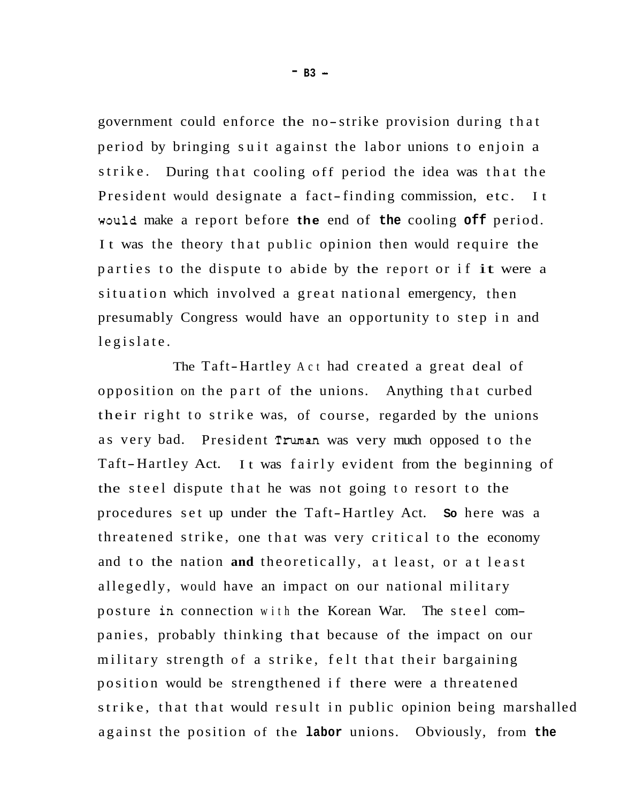government could enforce the no-strike provision during that period by bringing suit against the labor unions to enjoin a strike. During that cooling off period the idea was that the President would designate a fact-finding commission, etc. It woule make a report before **the** end of **the** cooling **off** period. It was the theory that public opinion then would require the parties to the dispute to abide by the report or if it were a situation which involved a great national emergency, then presumably Congress would have an opportunity to step in and legislate.

The Taft-Hartley Act had created a great deal of opposition on the part of the unions. Anything that curbed their right to strike was, of course, regarded by the unions as very bad. President Truman was very much opposed to the Taft-Hartley Act. It was fairly evident from the beginning of the steel dispute that he was not going to resort to the procedures set up under the Taft-Hartley Act. **So** here was a threatened strike, one that was very critical to the economy and to the nation **and** theoretically, at least, or at least allegedly, would have an impact on our national military posture in connection with the Korean War. The steel com panies, probably thinking that because of the impact on our military strength of a strike, felt that their bargaining position would be strengthened if there were a threatened strike, that that would result in public opinion being marshalled against the position of the **labor** unions. Obviously, from **the**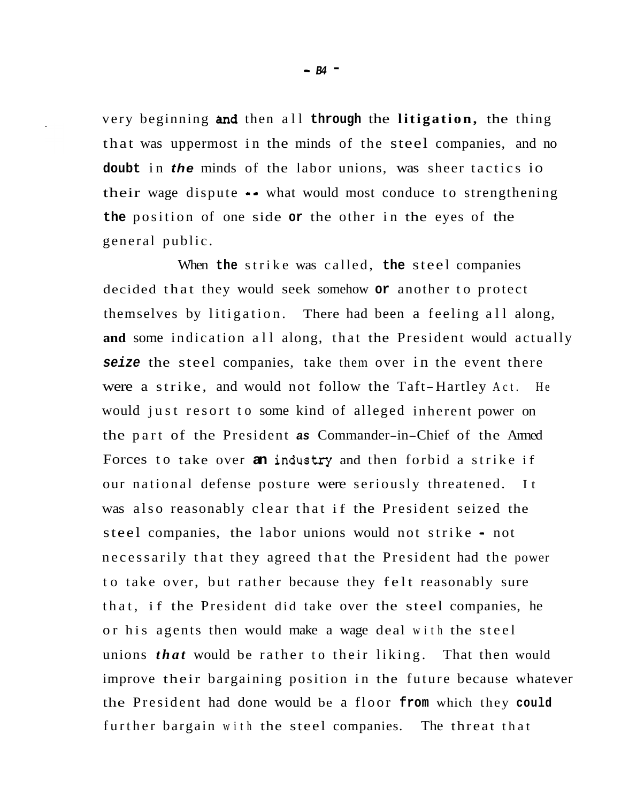very beginning **and** then all **through** the **litigation**, the thing that was uppermost in the minds of the steel companies, and no **doubt** in *the* minds of the labor unions, was sheer tactics io their wage dispute -- what would most conduce to strengthening **the** position of one side **or** the other in the eyes of the general public.

When **the** strike was called, **the** steel companies decided that they would seek somehow **or** another to protect themselves by litigation. There had been a feeling all along, **and** some indication all along, that the President would actually **seize** the steel companies, take them over in the event there were a strike, and would not follow the Taft-Hartley Act. He would just resort to some kind of alleged inherent power on the part of the President *as* Commander-in-Chief of the Armed Forces to take over an industry and then forbid a strike if our national defense posture were seriously threatened. It was also reasonably clear that if the President seized the steel companies, the labor unions would not strike - not necessarily that they agreed that the President had the power to take over, but rather because they felt reasonably sure that, if the President did take over the steel companies, he or his agents then would make a wage deal with the steel unions *that* would be rather to their liking. That then would improve their bargaining position in the future because whatever the President had done would be a floor **from** which they **could**  further bargain with the steel companies. The threat that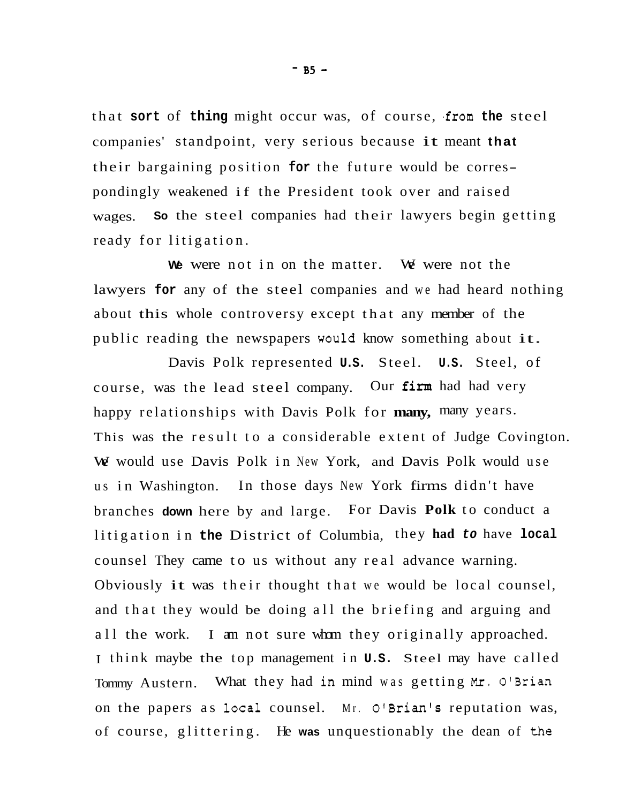that **sort** of **thing** might occur was, of course, .from **the** steel companies' standpoint, very serious because it meant **that**  their bargaining position **for** the future would be correspondingly weakened if the President took over and raised wages. **So** the steel companies had their lawyers begin getting ready for litigation.

We were not in on the matter. We were not the lawyers **for** any of the steel companies and we had heard nothing about this whole controversy except that any member of the public reading the newspapers would know something about it.

Davis Polk represented **U.S.** Steel. **U.S.** Steel, of course, was the lead steel company. Our firm had had very happy relationships with Davis Polk for **many,** many years. This was the result to a considerable extent of Judge Covington. We would use Davis Polk in New York, and Davis Polk would use us in Washington. In those days New York firms didn't have branches **down** here by and large. For Davis **Polk** to conduct a litigation in **the** District of Columbia, they **had** *to* have **local**  counsel They came to us without any real advance warning. Obviously it was their thought that we would be local counsel, and that they would be doing all the briefing and arguing and all the work. I am not sure whom they originally approached. I think maybe the top management in **U.S.** Steel may have called Tommy Austern. What they had in mind was getting Mr. O'Brian on the papers as local counsel. Mr.  $O<sup>t</sup>$  Brian<sup>t</sup>s reputation was, of course, glittering. He **was** unquestionably the dean of *the* 

 $-$  B<sub>5</sub>  $-$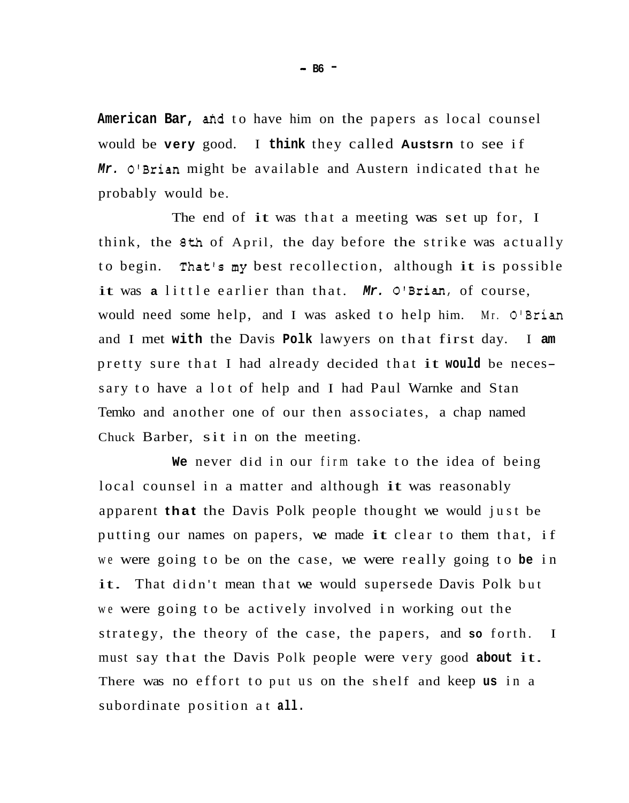American Bar, and to have him on the papers as local counsel would be **very** good. I **think** they called **Austsrn** to see if *Mr.* O'Brian might be available and Austern indicated that he probably would be.

The end of it was that a meeting was set up for, I think, the **8th** of April, the day before the strike was actually to begin. That's my best recollection, although it is possible it was a little earlier than that. *Mr.* O'Brian, of course, would need some help, and I was asked to help him. Mr. O'Brian and I met **with** the Davis **Polk** lawyers on that first day. I **am**  pretty sure that I had already decided that it **would** be necessary to have a lot of help and I had Paul Warnke and Stan Temko and another one of our then associates, a chap named Chuck Barber, sit in on the meeting.

**We** never did in our firm take to the idea of being local counsel in a matter and although it was reasonably apparent **that** the Davis Polk people thought we would just be putting our names on papers, we made it clear to them that, if we were going to be on the case, we were really going to **be** in it. That didn't mean that we would supersede Davis Polk but we were going to be actively involved in working out the strategy, the theory of the case, the papers, and **so** forth. I must say that the Davis Polk people were very good **about** it. There was no effort to put us on the shelf and keep **us** in a subordinate position at **all.** 

- **B6** -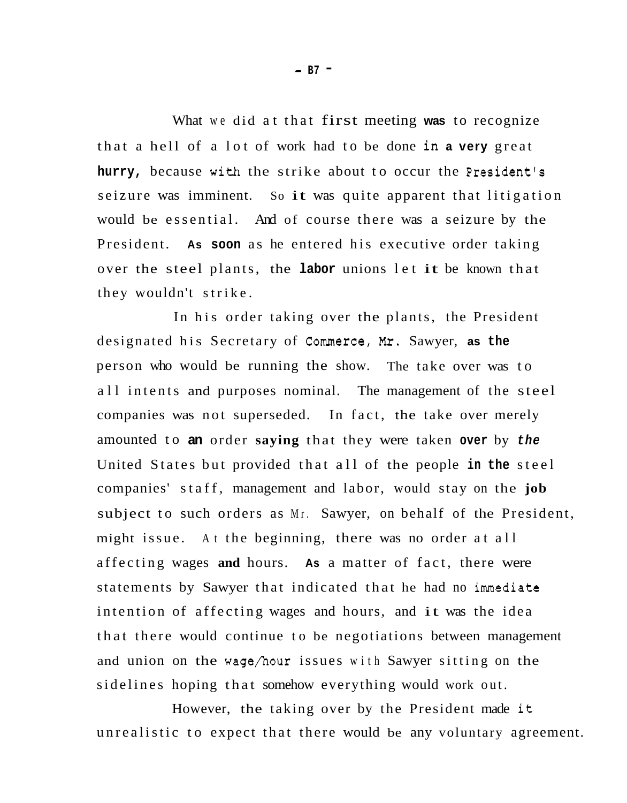What we did at that first meeting **was** to recognize that a hell of a lot of work had to be done in **a very** great **hurry,** because with the strike about to occur the President's seizure was imminent. So it was quite apparent that litigation would be essential. And of course there was a seizure by the President. **As soon** as he entered his executive order taking over the steel plants, the **labor** unions let it be known that they wouldn't strike.

In his order taking over the plants, the President designated his Secretary of Commerce, *Mr.* Sawyer, **as the**  person who would be running the show. The take over was to all intents and purposes nominal. The management of the steel companies was not superseded. In fact, the take over merely amounted to **an** order **saying** that they were taken **over** by *the*  United States but provided that all of the people **in the** steel companies' staff, management and labor, would stay on the **job**  subject to such orders as Mr. Sawyer, on behalf of the President, might issue. At the beginning, there was no order at all affecting wages **and** hours. **As** a matter of fact, there were statements by Sawyer that indicated that he had no immediate intention of affecting wages and hours, and it was the idea that there would continue to be negotiations between management and union on the wage/hour issues with Sawyer sitting on the sidelines hoping that somehow everything would work out.

However, the taking over by the President made it unrealistic to expect that there would be any voluntary agreement.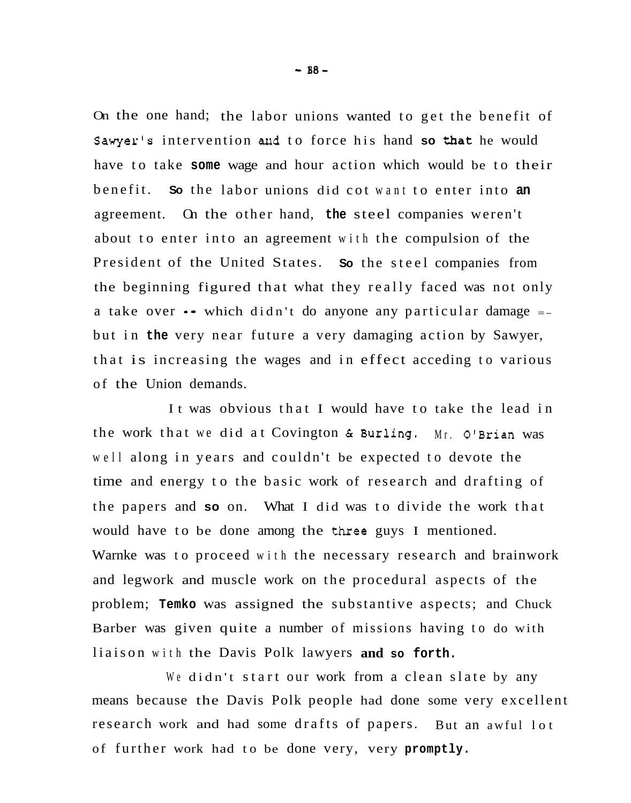On the one hand; the labor unions wanted to get the benefit of Sawyer's intervention and to force his hand so that he would have to take **some** wage and hour action which would be to their benefit. **So** the labor unions did cot want to enter into **an**  agreement. On the other hand, **the** steel companies weren't about to enter into an agreement with the compulsion of the President of the United States. **So** the steel companies from the beginning figured that what they really faced was not only a take over  $\bullet\bullet$  which didn't do anyone any particular damage  $\bullet\bullet$ but in **the** very near future a very damaging action by Sawyer, that is increasing the wages and in effect acceding to various of the Union demands.

It was obvious that I would have to take the lead in the work that we did at Covington & Burling. Mr. O'Brian was well along in years and couldn't be expected to devote the time and energy to the basic work of research and drafting of the papers and **so** on. What I did was to divide the work that would have to be done among the three guys I mentioned. Warnke was to proceed with the necessary research and brainwork and legwork and muscle work on the procedural aspects of the problem; **Temko** was assigned the substantive aspects; and Chuck Barber was given quite a number of missions having to do with liaison with the Davis Polk lawyers **and so forth.** 

We didn't start our work from a clean slate by any means because the Davis Polk people had done some very excellent research work and had some drafts of papers. But an awful lot of further work had to be done very, very **promptly.**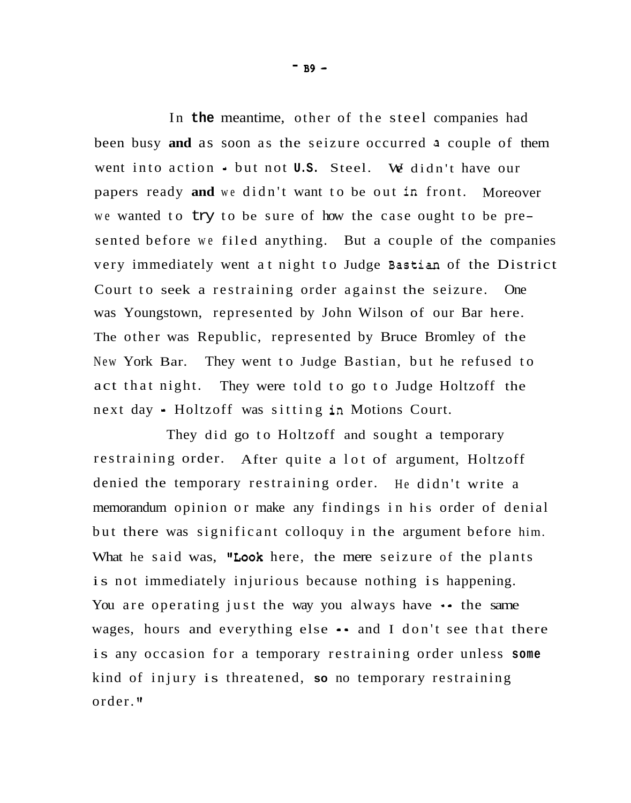In **the** meantime, other of the steel companies had been busy **and** as soon as the seizure occurred **a** couple of them went into action - but not **U.S.** Steel. We didn't have our papers ready **and** we didn't want to be out in front. Moreover we wanted to try to be sure of how the case ought to be presented before we filed anything. But a couple of the companies very immediately went at night to Judge Bastian of the District Court to seek a restraining order against the seizure. One was Youngstown, represented by John Wilson of our Bar here. The other was Republic, represented by Bruce Bromley of the New York Bar. They went to Judge Bastian, but he refused to act that night. They were told to go to Judge Holtzoff the next day = Holtzoff was sitting in Motions Court.

They did go to Holtzoff and sought a temporary restraining order. After quite a lot of argument, Holtzoff denied the temporary restraining order. He didn't write a memorandum opinion or make any findings in his order of denial but there was significant colloquy in the argument before him. What he said was, "Look here, the mere seizure of the plants is not immediately injurious because nothing is happening. You are operating just the way you always have  $\cdot \cdot$  the same wages, hours and everything else  $\bullet\bullet$  and I don't see that there is any occasion for a temporary restraining order unless **some**  kind of injury is threatened, **so** no temporary restraining order. **If** 

- **B9** -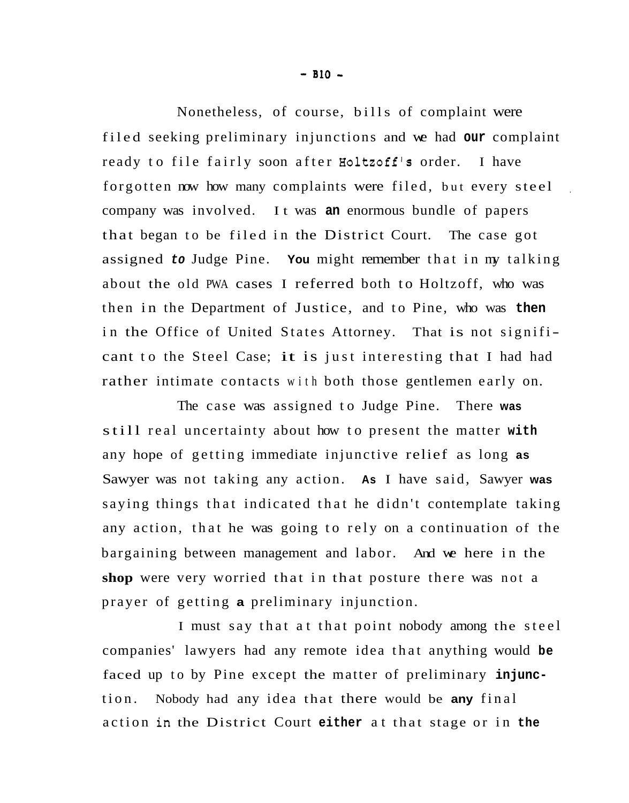Nonetheless, of course, bills of complaint were filed seeking preliminary injunctions and we had **our** complaint ready to file fairly soon after Holtzoff's order. I have forgotten now how many complaints were filed, but every steel company was involved. It was **an** enormous bundle of papers that began to be filed in the District Court. The case got assigned *to* Judge Pine. **You** might remember that in my talking about the old PWA cases I referred both to Holtzoff, who was then in the Department of Justice, and to Pine, who was **then**  in the Office of United States Attorney. That is not significant to the Steel Case; it is just interesting that I had had rather intimate contacts with both those gentlemen early on.

,

The case was assigned to Judge Pine. There **was**  still real uncertainty about how to present the matter **with**  any hope of getting immediate injunctive relief as long **as**  Sawyer was not taking any action. **As** I have said, Sawyer **was**  saying things that indicated that he didn't contemplate taking any action, that he was going to rely on a continuation of the bargaining between management and labor. And we here in the **shop** were very worried that in that posture there was not a prayer of getting **a** preliminary injunction.

I must say that at that point nobody among the steel companies' lawyers had any remote idea that anything would **be**  faced up to by Pine except the matter of preliminary **injunc**tion. Nobody had any idea that there would be **any** final action in the District Court **either** at that stage or in **the**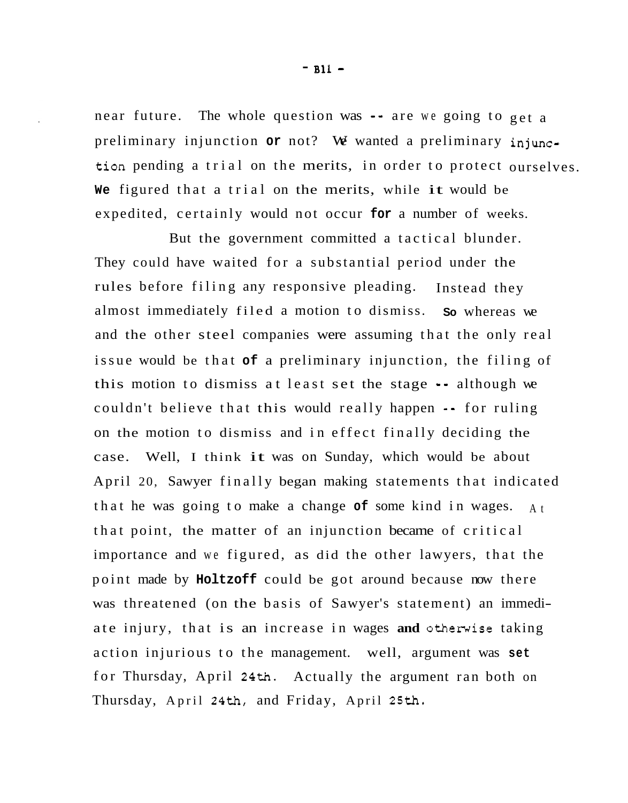near future. The whole question was -- are we going to get a preliminary injunction **or** not? We wanted a preliminary injunction pending a trial on the merits, in order to protect ourselves. **We** figured that a trial on the merits, while it would be expedited, certainly would not occur **for** a number of weeks.

But the government committed a tactical blunder. They could have waited for a substantial period under the rules before filing any responsive pleading. almost immediately filed a motion to dismiss. **So** whereas we and the other steel companies were assuming that the only real issue would be that **of** a preliminary injunction, the filing of this motion to dismiss at least set the stage -- although we couldn't believe that this would really happen == for ruling on the motion to dismiss and in effect finally deciding the case. Well, I think it was on Sunday, which would be about April 20, Sawyer finally began making statements that indicated that he was going to make a change **of** some kind in wages. At that point, the matter of an injunction became of critical importance and we figured, as did the other lawyers, that the point made by **Holtzoff** could be got around because now there was threatened (on the basis of Sawyer's statement) an immediate injury, that is an increase in wages **and** otherwise taking action injurious to the management. well, argument was **set**  for Thursday, April **24th.**  Actually the argument ran both on Thursday, April **24th,** and Friday, April **25th.**  Instead they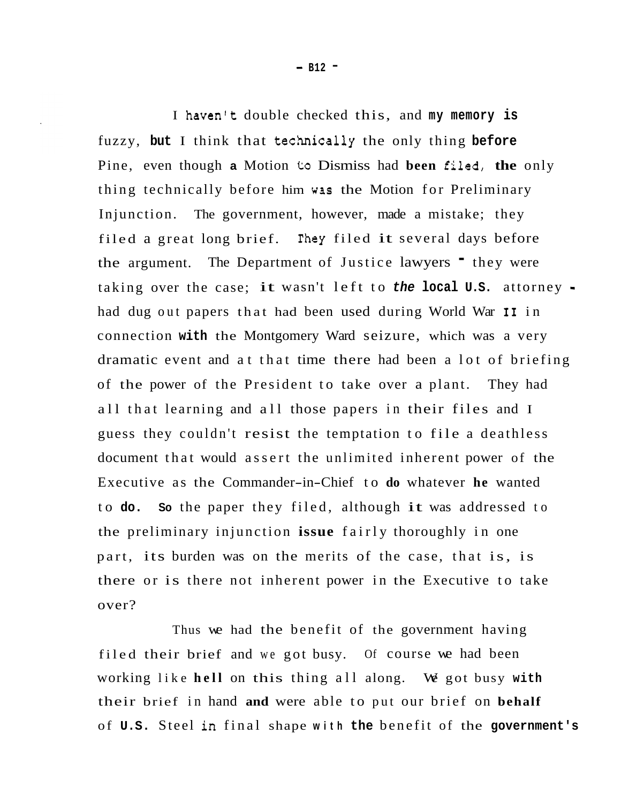I haven't double checked this, and **my memory is**  fuzzy, but I think that technically the only thing before Pine, even though **a** Motion **to** Dismiss had **been** filed, **the** only thing technically before him **wss** the Motion for Preliminary Injunction. The government, however, made a mistake; they filed a great long brief. They filed it several days before the argument. The Department of Justice lawyers <sup>-</sup> they were taking over the case; it wasn't left to *the* **local U.S.** attorney had dug out papers that had been used during World War **I1** in connection **with** the Montgomery Ward seizure, which was a very dramatic event and at that time there had been a lot of briefing of the power of the President to take over a plant. They had all that learning and all those papers in their files and I guess they couldn't resist the temptation to file a deathless document that would assert the unlimited inherent power of the Executive as the Commander-in-Chief to **do** whatever **he** wanted to **do. So** the paper they filed, although it was addressed to the preliminary injunction **issue** fairly thoroughly in one part, its burden was on the merits of the case, that is, is there or is there not inherent power in the Executive to take over?

Thus we had the benefit of the government having filed their brief and we got busy. Of course we had been working like **hell** on this thing all along. We got busy **with**  their brief in hand **and** were able to put our brief on **behalf**  of **U.S.** Steel in final shape **with the** benefit of the **government's**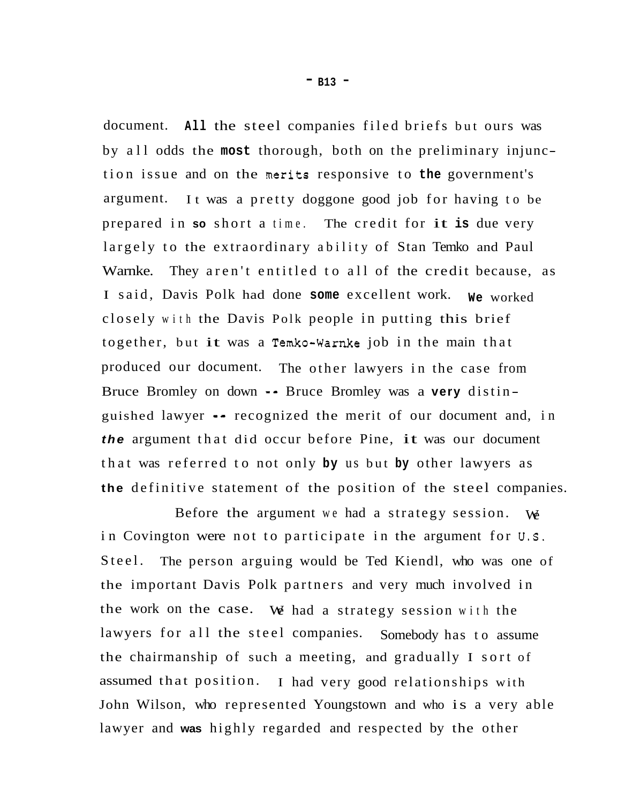document. **All** the steel companies filed briefs but ours was by all odds the **most** thorough, both on the preliminary injunction issue and on the nerits responsive to **the** government's argument. It was a pretty doggone good job for having to be prepared in **so** short a time. The credit for it **is** due very largely to the extraordinary ability of Stan Temko and Paul Warnke. They aren't entitled to all of the credit because, as I said, Davis Polk had done **some** excellent work. **We** worked closely with the Davis Polk people in putting this brief together, but it was a Temko-Warnke job in the main that produced our document. The other lawyers in the case from Bruce Bromley on down == Bruce Bromley was a **very** distin guished lawyer =- recognized the merit of our document and, in *the* argument that did occur before Pine, it was our document that was referred to not only **by** us but **by** other lawyers as **the** definitive statement of the position of the steel companies.

Before the argument we had a strategy session. We in Covington were not to participate in the argument for **U.S.**  Steel. the important Davis Polk partners and very much involved in the work on the case. We had a strategy session with the lawyers for all the steel companies. Somebody has to assume the chairmanship of such a meeting, and gradually I sort of assumed that position. I had very good relationships with John Wilson, who represented Youngstown and who is a very able lawyer and **was** highly regarded and respected by the other The person arguing would be Ted Kiendl, who was one of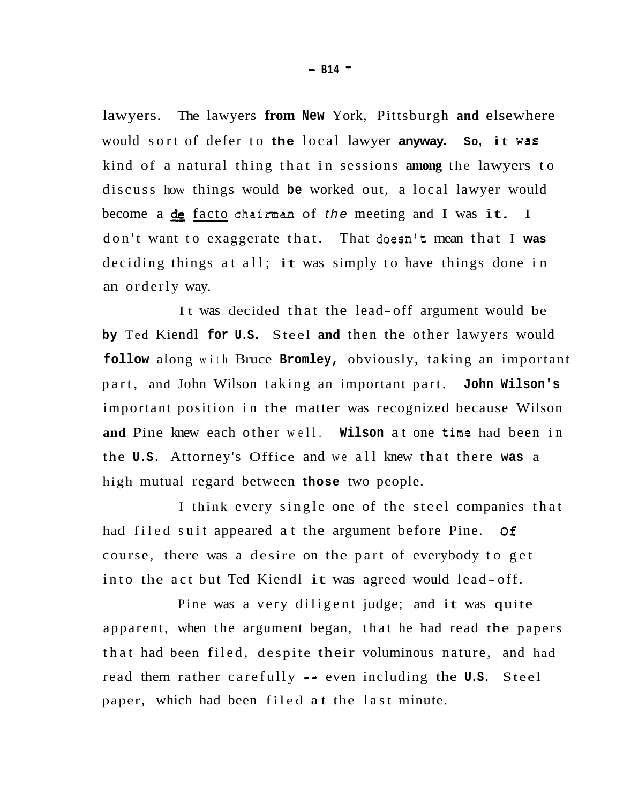lawyers. The lawyers **from New** York, Pittsburgh **and** elsewhere would sort of defer to **the** local lawyer **anyway. So,** it was kind of a natural thing that in sessions **among** the lawyers to discuss how things would **be** worked out, a local lawyer would become a de facto chairman of *the* meeting and I was it. I don't want to exaggerate that. That doesn't mean that I **was**  deciding things at all; it was simply to have things done in an orderly way.

It was decided that the lead-off argument would be **by** Ted Kiendl **for U.S.** Steel **and** then the other lawyers would **follow** along with Bruce **Bromley,** obviously, taking an important part, and John Wilson taking an important part. **John Wilson's**  important position in the matter was recognized because Wilson **and** Pine knew each other well. **Wilson** at one time had been in the **U.S.** Attorney's Office and we all knew that there **was** a high mutual regard between **those** two people.

I think every single one of the steel companies that had filed suit appeared at the argument before Pine. *Of*  course, there was a desire on the part of everybody to get into the act but Ted Kiendl it was agreed would lead-off.

Pine was a very diligent judge; and it was quite apparent, when the argument began, that he had read the papers that had been filed, despite their voluminous nature, and had read them rather carefully -- even including the **U.S.** Steel paper, which had been filed at the last minute.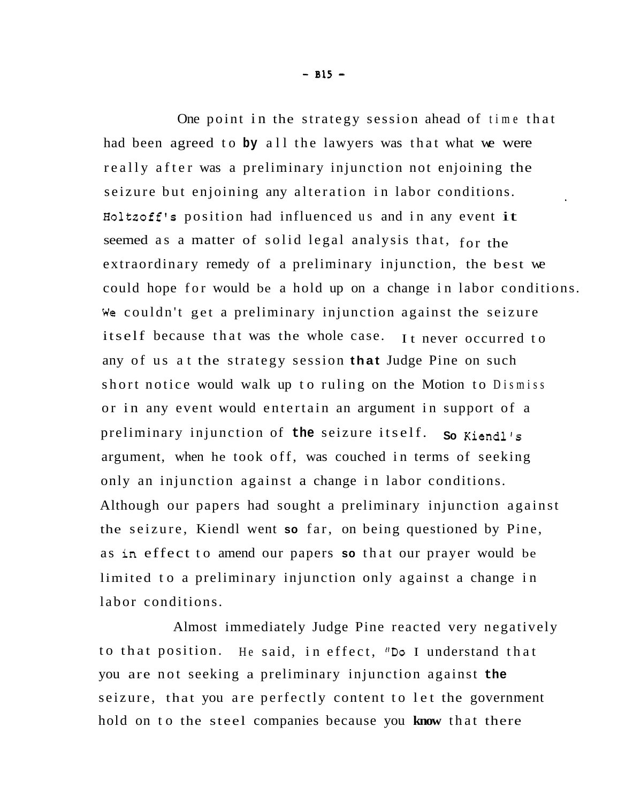One point in the strategy session ahead of time that had been agreed to **by** all the lawyers was that what we were really after was a preliminary injunction not enjoining the seizure but enjoining any alteration in labor conditions. Holtzoff's position had influenced us and in any event it seemed as a matter of solid legal analysis that, for the extraordinary remedy of a preliminary injunction, the best we could hope for would be a hold up on a change in labor conditions. We couldn't get a preliminary injunction against the seizure itself because that was the whole case. It never occurred to any of us at the strategy session **that** Judge Pine on such short notice would walk up to ruling on the Motion to Dismiss or in any event would entertain an argument in support of a preliminary injunction of **the** seizure itself. argument, when he took off, was couched in terms of seeking only an injunction against a change in labor conditions. Although our papers had sought a preliminary injunction against the seizure, Kiendl went **so** far, on being questioned by Pine, as **in** effect to amend our papers **so** that our prayer would be limited to a preliminary injunction only against a change in labor conditions. **So** Kiendl's

Almost immediately Judge Pine reacted very negatively to that position. He said, in effect, "Do I understand that you are not seeking a preliminary injunction against **the**  seizure, that you are perfectly content to let the government hold on to the steel companies because you **know** that there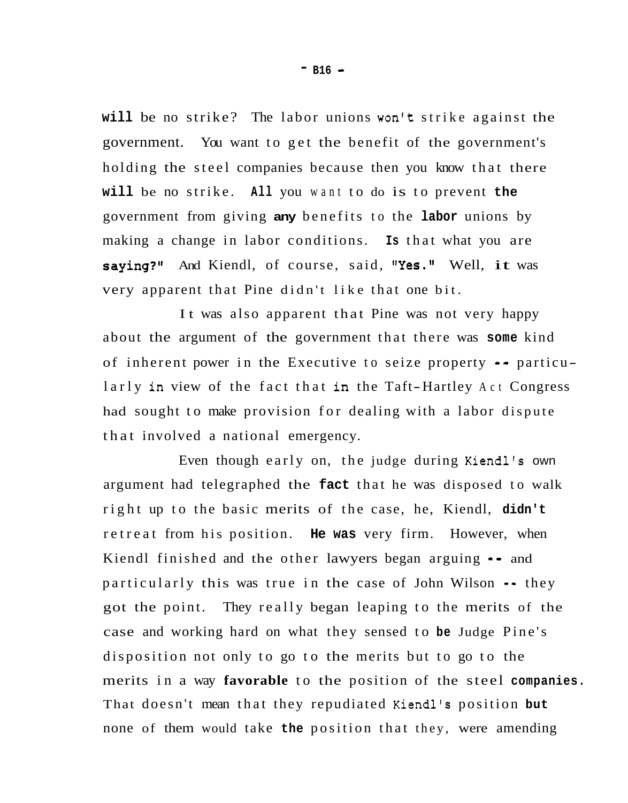**will** be no strike? The labor unions won't strike against the government. You want to get the benefit of the government's holding the steel companies because then you know that there **will** be no strike. **All** you want to do is to prevent **the**  government from giving **any** benefits to the **labor** unions by making a change in labor conditions. **Is** that what you are saying?" And Kiendl, of course, said, "Yes." Well, it was very apparent that Pine didn't like that one bit.

It was also apparent that Pine was not very happy about the argument of the government that there was **some** kind of inherent power in the Executive to seize property -- particu larly in view of the fact that in the Taft-Hartley Act Congress had sought to make provision for dealing with a labor dispute that involved a national emergency.

Even though early on, the judge during Kiendl's own argument had telegraphed the **fact** that he was disposed to walk right up to the basic merits of the case, he, Kiendl, **didn't**  retreat from his position. **He was** very firm. However, when Kiendl finished and the other lawyers began arguing  $\cdot$  and particularly this was true in the case of John Wilson -- they got the point. They really began leaping to the merits of the case and working hard on what they sensed to **be** Judge Pine's disposition not only to go to the merits but to go to the merits in a way **favorable** to the position of the steel **companies.**  That doesn't mean that they repudiated Kiendl's position **but**  none of them would take **the** position that they, were amending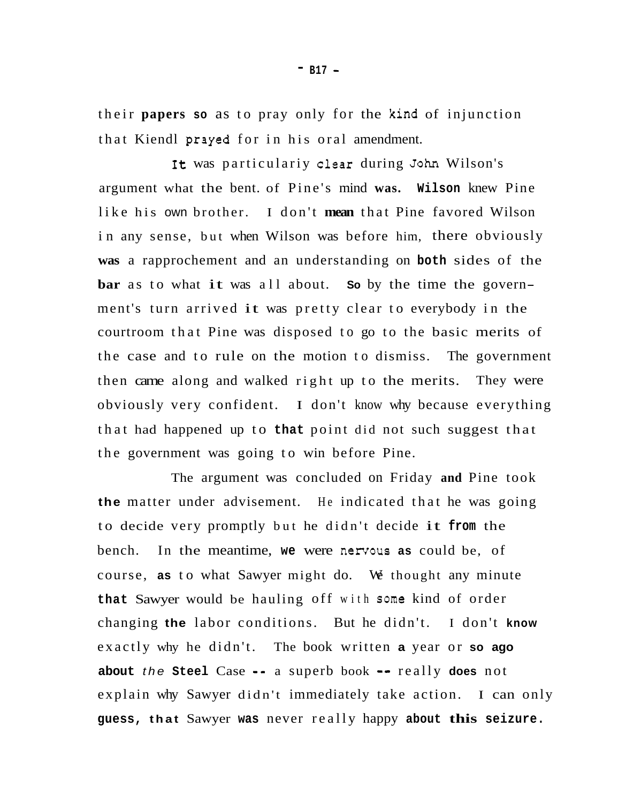their **papers so** as to pray only for the kind of injunction that Kiendl **prayed** for in his oral amendment.

It was particulariy clear during John Wilson's argument what the bent. of Pine's mind **was. Wilson** knew Pine like his own brother. I don't **mean** that Pine favored Wilson in any sense, but when Wilson was before him, there obviously **was** a rapprochement and an understanding on **both** sides of the **bar** as to what it was all about. **So** by the time the government's turn arrived it was pretty clear to everybody in the courtroom that Pine was disposed to go to the basic merits of the case and to rule on the motion to dismiss. The government then came along and walked right up to the merits. They were obviously very confident. I don't know why because everything that had happened up to **that** point did not such suggest that the government was going to win before Pine.

The argument was concluded on Friday **and** Pine took **the** matter under advisement. He indicated that he was going to decide very promptly but he didn't decide it **from** the bench. In the meantime, we were nervous as could be, of course, **as** to what Sawyer might do. We thought any minute **that** Sawyer would be hauling off with some kind of order changing **the** labor conditions. But he didn't. I don't **know**  exactly why he didn't. The book written **a** year or **so ago about** *the* **Steel** Case =- a superb book *-0* really **does** not explain why Sawyer didn't immediately take action. I can only **guess, that** Sawyer **was** never really happy **about this seizure.**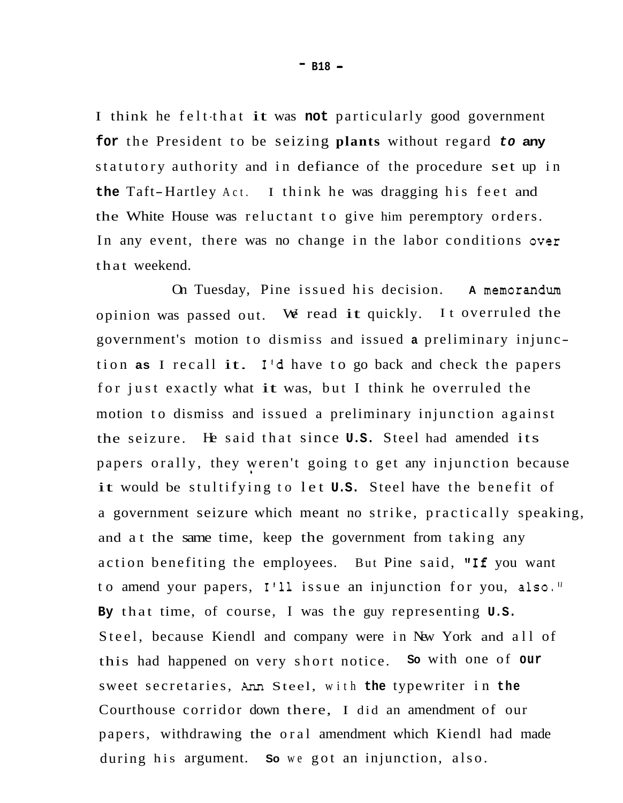I think he felt that it was not particularly good government **for** the President to be seizing **plants** without regard *to* **any**  statutory authority and in defiance of the procedure set up in **the** Taft-Hartley Act. I think he was dragging his feet and the White House was reluctant to give him peremptory orders. In any event, there was no change in the labor conditions over that weekend.

On Tuesday, Pine issued his decision. **A** memorandum opinion was passed out. We read it quickly. It overruled the government's motion to dismiss and issued **a** preliminary injunction **as** I recall it. I'd have to go back and check the papers for just exactly what it was, but I think he overruled the motion to dismiss and issued a preliminary injunction against the seizure. He said that since **U.S.** Steel had amended its papers orally, they weren't going to get any injunction because it would be stultifying to let **U.S.** Steel have the benefit of a government seizure which meant no strike, practically speaking, and at the same time, keep the government from taking any action benefiting the employees. But Pine said, "If you want to amend your papers, **1'11** issue an injunction for you, also.'' **By** that time, of course, I was the guy representing **U.S.**  Steel, because Kiendl and company were in New York and all of this had happened on very short notice. **So** with one of **our** sweet secretaries, *AM* Steel, with **the** typewriter in **the**  Courthouse corridor down there, I did an amendment of our papers, withdrawing the oral amendment which Kiendl had made during his argument. **So** we got an injunction, also. **1** 

- **B18** -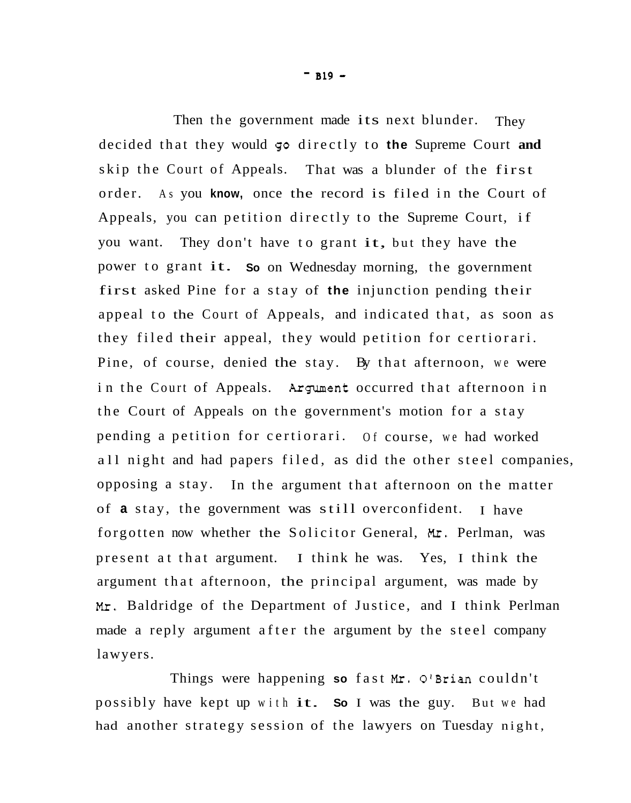$-$  B<sub>19</sub>  $-$ 

Then the government made its next blunder. They decided that they would *50* directly to **the** Supreme Court **and**  skip the Court of Appeals. That was a blunder of the first order. As you **know,** once the record is filed in the Court of Appeals, you can petition directly to the Supreme Court, if you want. They don't have to grant it, but they have the power to grant it. **So** on Wednesday morning, the government first asked Pine for a stay of **the** injunction pending their appeal to the Court of Appeals, and indicated that, as soon as they filed their appeal, they would petition for certiorari. Pine, of course, denied the stay. By that afternoon, we were in the Court of Appeals. Argument occurred that afternoon in the Court of Appeals on the government's motion for a stay pending a petition for certiorari. Of course, we had worked all night and had papers filed, as did the other steel companies, opposing a stay. In the argument that afternoon on the matter of **a** stay, the government was still overconfident. I have forgotten now whether the Solicitor General, *Mr.* Perlman, was present at that argument. I think he was. Yes, I think the argument that afternoon, the principal argument, was made by *Mr.* Baldridge of the Department of Justice, and I think Perlman made a reply argument after the argument by the steel company lawyers.

Things were happening so fast Mr. O'Brian couldn't possibly have kept up with it. **So** I was the guy. But we had had another strategy session of the lawyers on Tuesday night,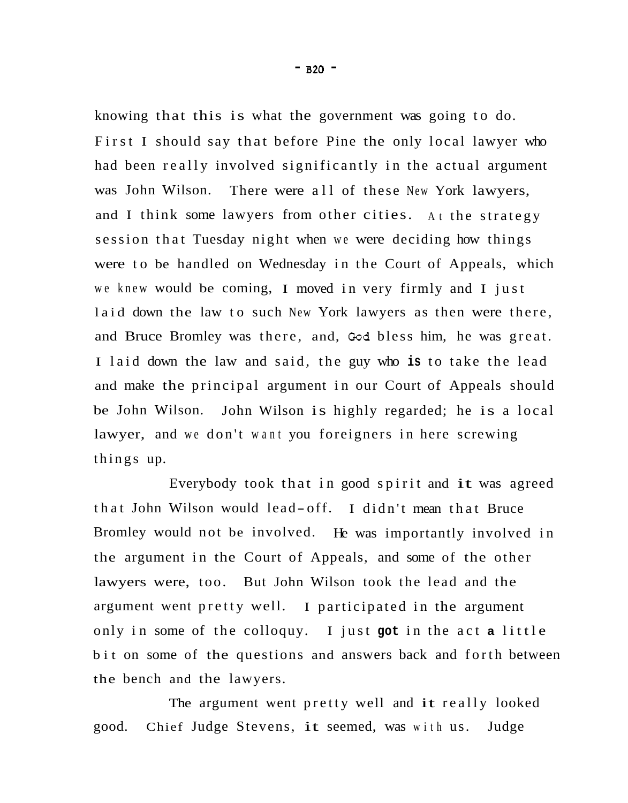knowing that this is what the government was going to do. First I should say that before Pine the only local lawyer who had been really involved significantly in the actual argument was John Wilson. There were all of these New York lawyers, and I think some lawyers from other cities. At the strategy session that Tuesday night when we were deciding how things were to be handled on Wednesday in the Court of Appeals, which we knew would be coming, I moved in very firmly and I just laid down the law to such New York lawyers as then were there, and Bruce Bromley was there, and, Cod bless him, he was great. I laid down the law and said, the guy who **is** to take the lead and make the principal argument in our Court of Appeals should be John Wilson. John Wilson is highly regarded; he is a local lawyer, and we don't want you foreigners in here screwing things up.

Everybody took that in good spirit and it was agreed that John Wilson would lead- off. I didn't mean that Bruce Bromley would not be involved. He was importantly involved in the argument in the Court of Appeals, and some of the other lawyers were, too. But John Wilson took the lead and the argument went pretty well. I participated in the argument only in some of the colloquy. I just **got** in the act **a** little bit on some of the questions and answers back and forth between the bench and the lawyers.

The argument went pretty well and it really looked good. Chief Judge Stevens, it seemed, was with us. Judge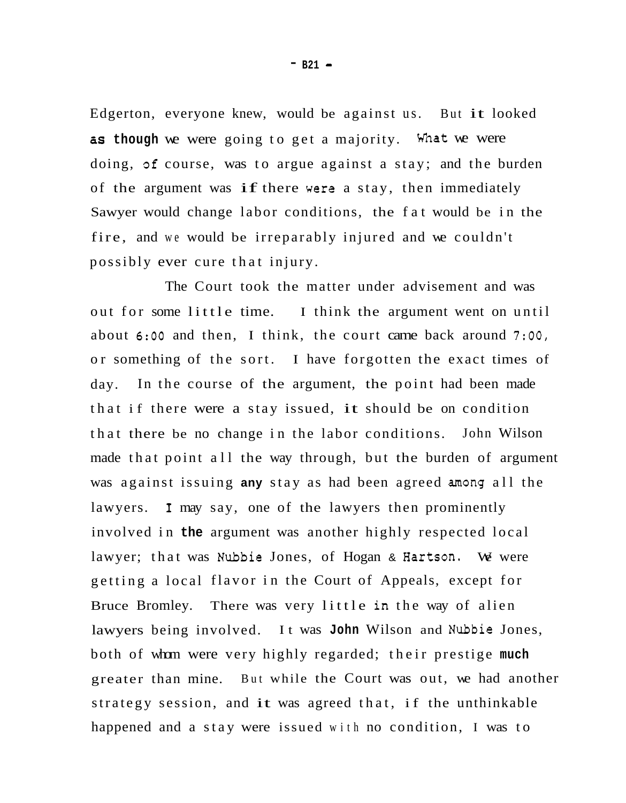Edgerton, everyone knew, would be against us. But it looked as though we were going to get a majority. What we were doing, **gf** course, was to argue against a stay; and the burden of the argument was if there were a stay, then immediately Sawyer would change labor conditions, the fat would be in the fire, and we would be irreparably injured and we couldn't possibly ever cure that injury.

The Court took the matter under advisement and was out for some little time. I think the argument went on until about **6:OO** and then, I think, the court came back around **7:00,**  or something of the sort. I have forgotten the exact times of day. that if there were a stay issued, it should be on condition that there be no change in the labor conditions. John Wilson made that point all the way through, but the burden of argument was against issuing **any** stay as had been agreed among all the lawyers. **1** may say, one of the lawyers then prominently involved in **the** argument was another highly respected local lawyer; that was Nubble Jones, of Hogan & Hartson. We were getting a local flavor in the Court of Appeals, except for Bruce Bromley. There was very little in the way of alien lawyers being involved. It was **John** Wilson and Nubble Jones, both of whom were very highly regarded; their prestige **much**  greater than mine. But while the Court was out, we had another strategy session, and it was agreed that, if the unthinkable happened and a stay were issued with no condition, I was to In the course of the argument, the point had been made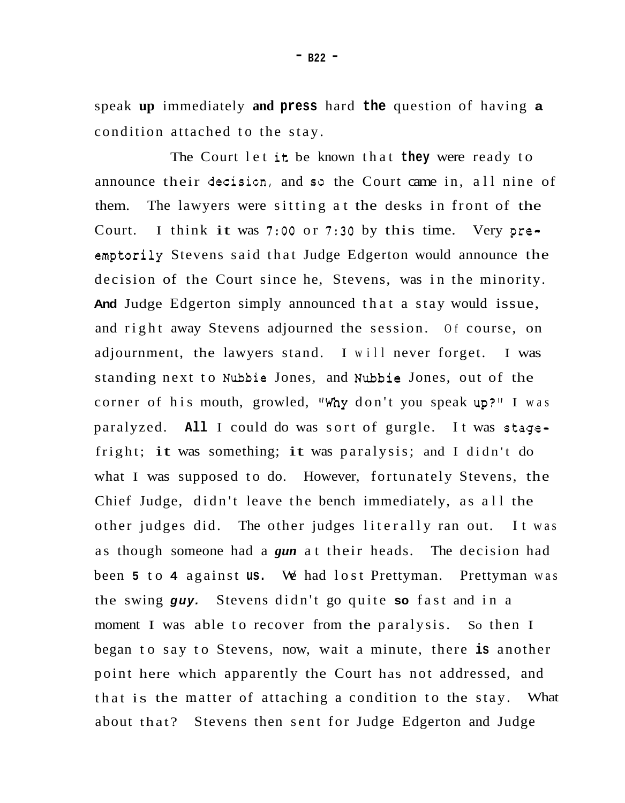speak **up** immediately **and press** hard **the** question of having **a**  condition attached to the stay.

The Court let it be known that **they** were ready to announce their decisicn, and **so** the Court came in, all nine of them. The lawyers were sitting at the desks in front of the Court. I think it was **7:OO** or **7:30** by this time. Very preemptorily Stevens said that Judge Edgerton would announce the decision of the Court since he, Stevens, was in the minority. **And** Judge Edgerton simply announced that a stay would issue, and right away Stevens adjourned the session. Of course, on adjournment, the lawyers stand. I will never forget. I was standing next to Nubbie Jones, and Nubbie Jones, out of the corner of his mouth, growled, *Why* don't you speak up?'' I was paralyzed. **All** I could do was sort of gurgle. It was stagefright; it was something; it was paralysis; and I didn't do what I was supposed to do. However, fortunately Stevens, the Chief Judge, didn't leave the bench immediately, as all the other judges did. The other judges literally ran out. It was as though someone had a *gun* at their heads. The decision had been **5** to **4** against **us.** We had lost Prettyman. Prettyman was the swing *guy.* Stevens didn't go quite **so** fast and in a moment I was able to recover from the paralysis. So then I began to say to Stevens, now, wait a minute, there **is** another point here which apparently the Court has not addressed, and that is the matter of attaching a condition to the stay. What about that? Stevens then sent for Judge Edgerton and Judge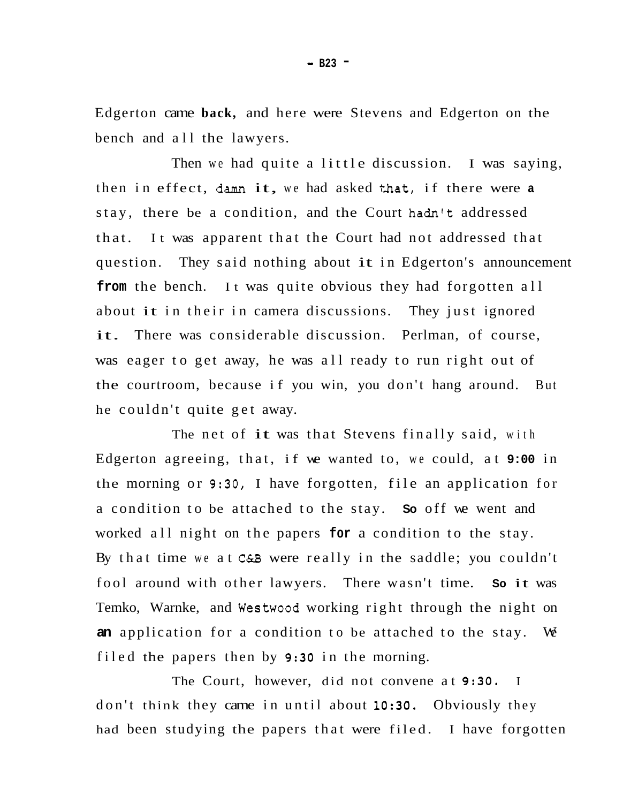Edgerton came **back,** and here were Stevens and Edgerton on the bench and all the lawyers.

Then we had quite a little discussion. I was saying, then in effect, damn it, we had asked that, if there were **<sup>a</sup>** stay, there be a condition, and the Court hadn't addressed that. question. They said nothing about it in Edgerton's announcement from the bench. It was quite obvious they had forgotten all about it in their in camera discussions. They just ignored It was apparent that the Court had not addressed that it. There was considerable discussion. Perlman, of course, was eager to get away, he was all ready to run right out of the courtroom, because if you win, you don't hang around. But he couldn't quite get away.

The net of it was that Stevens finally said, with Edgerton agreeing, that, if we wanted to, we could, at **9:00** in the morning or **9:30,** I have forgotten, file an application for a condition to be attached to the stay. **So** off we went and worked all night on the papers **for** a condition to the stay. By that time we at **C&B** were really in the saddle; you couldn't fool around with other lawyers. There wasn't time. **So** it was Temko, Warnke, and Westwood working right through the night on **an** application for a condition to be attached to the stay. We filed the papers then by **9:30** in the morning.

The Court, however, did not convene at **9:30.** I don't think they came in until about **10:30.** Obviously they had been studying the papers that were filed. I have forgotten

- **B23** -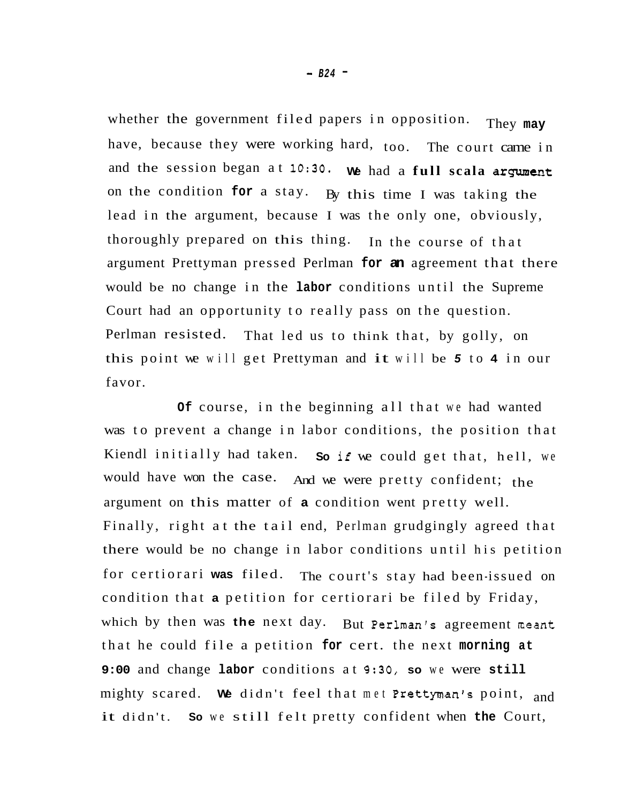whether the government filed papers in opposition. They **may**  have, because they were working hard, too. The court came in and the session began at 10:30. We had a full scala argument on the condition **for** a stay. By this time I was taking the lead in the argument, because I was the only one, obviously, thoroughly prepared on this thing. In the course of that argument Prettyman pressed Perlman **for an** agreement that there would be no change in the **labor** conditions until the Supreme Court had an opportunity to really pass on the question. Perlman resisted. this point we will get Prettyman and it will be *5* to **4** in our favor. That led us to think that, by golly, on

**Of** course, in the beginning all that we had wanted was to prevent a change in labor conditions, the position that Kiendl initially had taken. **So** if we could get that, hell, we would have won the case. And we were pretty confident; the argument on this matter of **a** condition went pretty well. Finally, right at the tail end, Perlman grudgingly agreed that there would be no change in labor conditions until his petition for certiorari **was** filed. The court's stay had been-issued on condition that **a** petition for certiorari be filed by Friday, which by then was **the** next day. But Perlman's agreement neant that he could file a petition **for** cert. the next **morning at 9:00** and change **labor** conditions at **9:30, so** we were **still**  mighty scared. **We** didn't feel that met Prettyman's point, and it didn't. **So** we still felt pretty confident when **the** Court,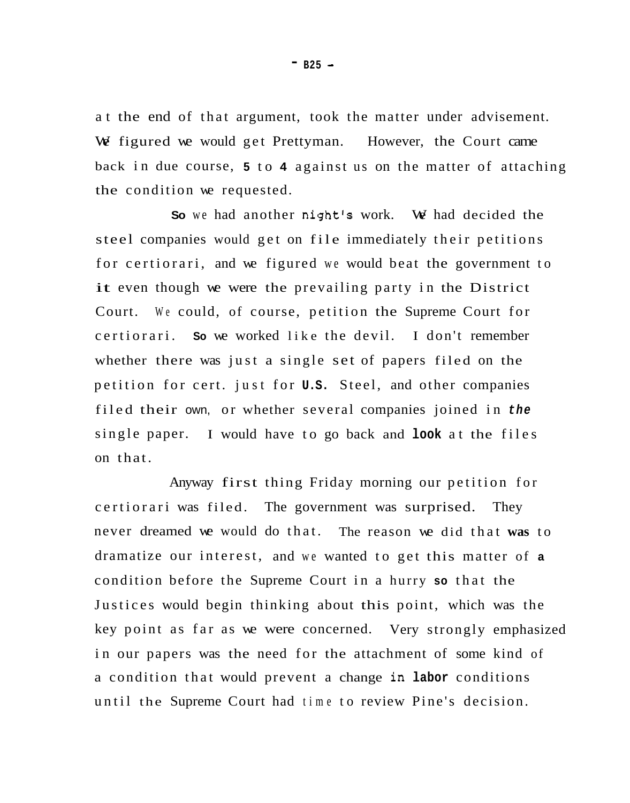at the end of that argument, took the matter under advisement. We figured we would get Prettyman. However, the Court came back in due course, **5** to **4** against us on the matter of attaching the condition we requested.

**So** we had another night's work. We had decided the steel companies would get on file immediately their petitions for certiorari, and we figured we would beat the government to it even though we were the prevailing party in the District Court. We could, of course, petition the Supreme Court for certiorari. **So** we worked like the devil. I don't remember whether there was just a single set of papers filed on the petition for cert. just for **U.S.** Steel, and other companies filed their own, or whether several companies joined in *the*  single paper. I would have to go back and **look** at the files on that.

Anyway first thing Friday morning our petition for certiorari was filed. The government was surprised. They never dreamed we would do that. The reason we did that **was** to dramatize our interest, and we wanted to get this matter of **<sup>a</sup>** condition before the Supreme Court in a hurry **so** that the Justices would begin thinking about this point, which was the key point as far as we were concerned. Very strongly emphasized in our papers was the need for the attachment of some kind of a condition that would prevent a change in **labor** conditions until the Supreme Court had time to review Pine's decision.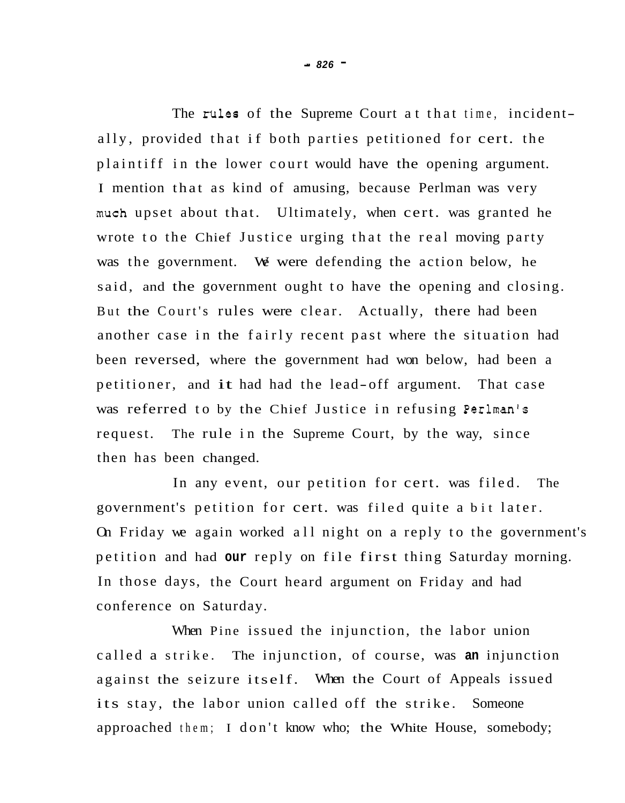The rules of the Supreme Court at that time, incidentally, provided that if both parties petitioned for cert. the plaintiff in the lower court would have the opening argument. I mention that as kind of amusing, because Perlman was very much upset about that. Ultimately, when cert. was granted he wrote to the Chief Justice urging that the real moving party was the government. We were defending the action below, he said, and the government ought to have the opening and closing. But the Court's rules were clear. Actually, there had been another case in the fairly recent past where the situation had been reversed, where the government had won below, had been a petitioner, and it had had the lead-off argument. That case was referred to by the Chief Justice in refusing Perlman's request. The rule in the Supreme Court, by the way, since then has been changed.

In any event, our petition for cert. was filed. The government's petition for cert. was filed quite a bit later. On Friday we again worked all night on a reply to the government's petition and had **our** reply on file first thing Saturday morning. In those days, the Court heard argument on Friday and had conference on Saturday.

When Pine issued the injunction, the labor union called a strike. The injunction, of course, was **an** injunction against the seizure itself. When the Court of Appeals issued its stay, the labor union called off the strike. Someone approached them; I don't know who; the White House, somebody;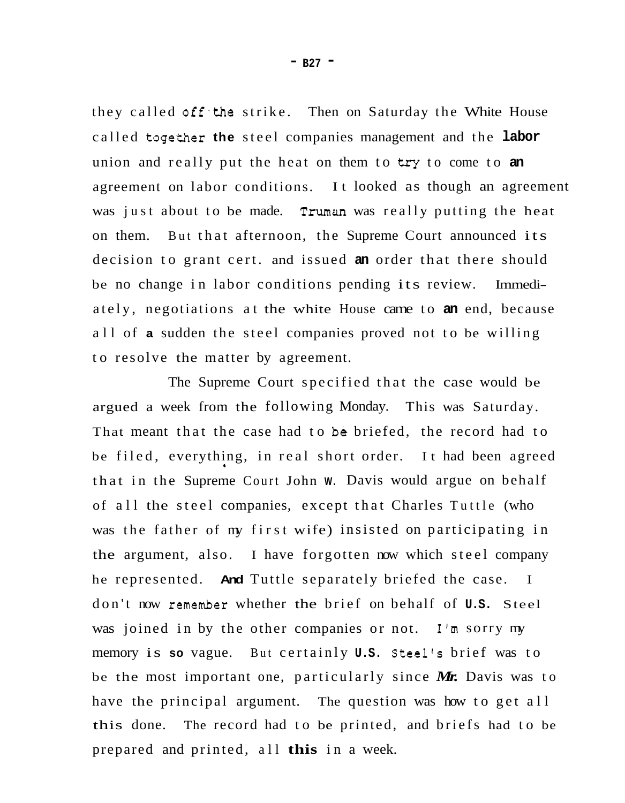they called off the strike. Then on Saturday the White House called together the steel companies management and the labor union and really put the heat on them to try to come to **an**  agreement on labor conditions. It looked as though an agreement was just about to be made. Truman was really putting the heat on them. But that afternoon, the Supreme Court announced its decision to grant cert. and issued **an** order that there should be no change in labor conditions pending its review. Immediately, negotiations at the white House came to **an** end, because all of **a** sudden the steel companies proved not to be willing to resolve the matter by agreement.

The Supreme Court specified that the case would be argued a week from the following Monday. This was Saturday. That meant that the case had to be briefed, the record had to be filed, everything, in real short order. It had been agreed that in the Supreme Court John **W.** Davis would argue on behalf of all the steel companies, except that Charles Tuttle (who was the father of my first wife) insisted on participating in the argument, also. I have forgotten now which steel company he represented. **And** Tuttle separately briefed the case. I don't now remember whether the brief on behalf of **U.S.** Steel was joined in by the other companies or not. I'm sorry my memory is **so** vague. But certainly **U.S.** Steel's brief was to be the most important one, particularly since *Mr.* Davis was to have the principal argument. The question was how to get all this done. The record had to be printed, and briefs had to be prepared and printed, all **this** in a week.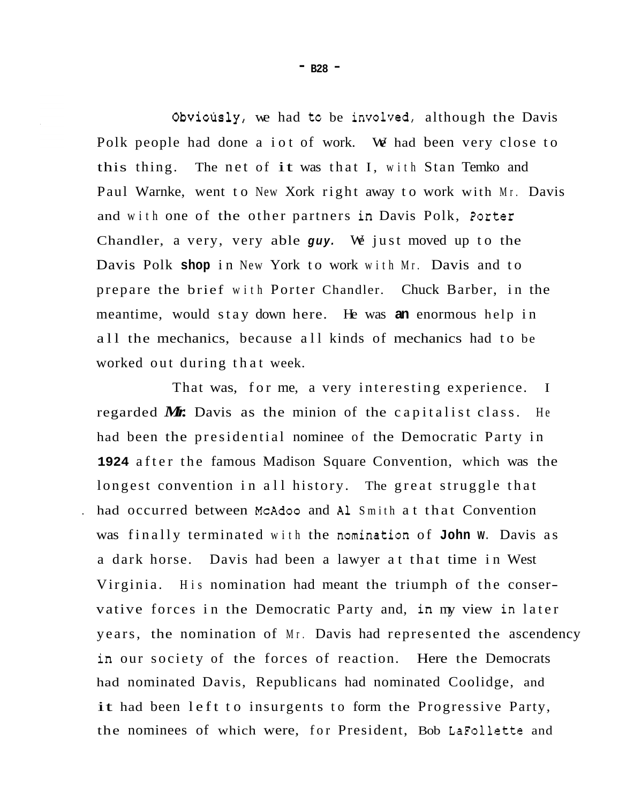Obvicusly, we had tc be involved, although the Davis Polk people had done a iot of work. We had been very close to this thing. The net of it was that I, with Stan Temko and Paul Warnke, went to New Xork right away to work with Mr. Davis and with one of the other partners in Davis Polk, 2orter Chandler, a very, very able *guy.* We just moved up to the Davis Polk **shop** in New York to work with Mr. Davis and to prepare the brief with Porter Chandler. Chuck Barber, in the meantime, would stay down here. He was **an** enormous help in all the mechanics, because all kinds of mechanics had to be worked out during that week.

That was, for me, a very interesting experience. I regarded *Mr.* Davis as the minion of the capitalist class. He had been the presidential nominee of the Democratic Party in **1924** after the famous Madison Square Convention, which was the longest convention in all history. The great struggle that . had occurred between McAdoo and **A1** Smith at that Convention was finally terminated with the nomination of **John W.** Davis as a dark horse. Davis had been a lawyer at that time in West Virginia. His nomination had meant the triumph of the conservative forces in the Democratic Party and, in my view in later years, the nomination of Mr. Davis had represented the ascendency in our society of the forces of reaction. Here the Democrats had nominated Davis, Republicans had nominated Coolidge, and it had been left to insurgents to form the Progressive Party, the nominees of which were, for President, Bob LaFollette and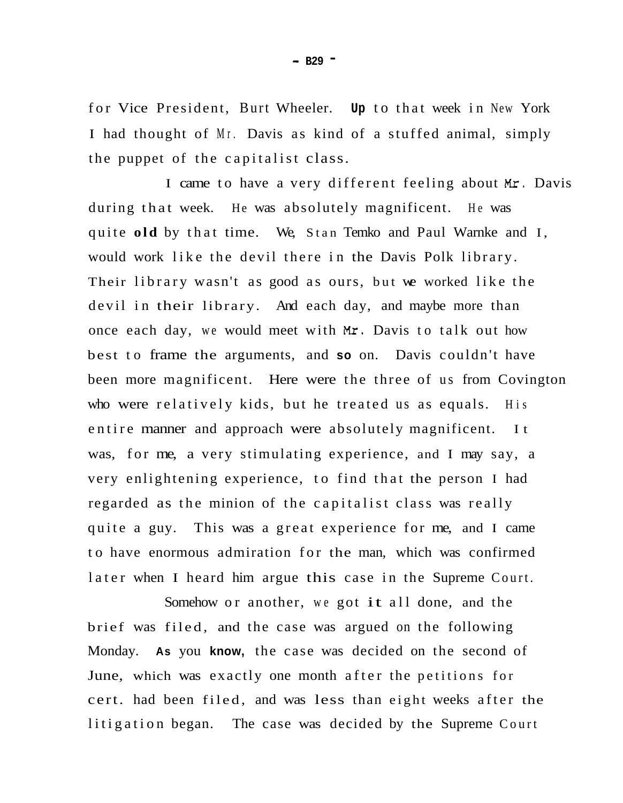for Vice President, Burt Wheeler. **Up** to that week in New York I had thought of Mr. Davis as kind of a stuffed animal, simply the puppet of the capitalist class.

I came to have a very different feeling about *Mr.* Davis during that week. He was absolutely magnificent. He was quite **old** by that time. We, Stan Temko and Paul Warnke and I, would work like the devil there in the Davis Polk library. Their library wasn't as good as ours, but we worked like the devil in their library. And each day, and maybe more than once each day, we would meet with *Mr.* Davis to talk out how best to frame the arguments, and **so** on. Davis couldn't have been more magnificent. Here were the three of us from Covington who were relatively kids, but he treated us as equals. His entire manner and approach were absolutely magnificent. It was, for me, a very stimulating experience, and I may say, a very enlightening experience, to find that the person I had regarded as the minion of the capitalist class was really quite a guy. This was a great experience for me, and I came to have enormous admiration for the man, which was confirmed later when I heard him argue this case in the Supreme Court.

Somehow or another, we got it all done, and the brief was filed, and the case was argued on the following Monday. **As** you **know,** the case was decided on the second of June, which was exactly one month after the petitions for cert. had been filed, and was less than eight weeks after the litigation began. The case was decided by the Supreme Court

- **B29** -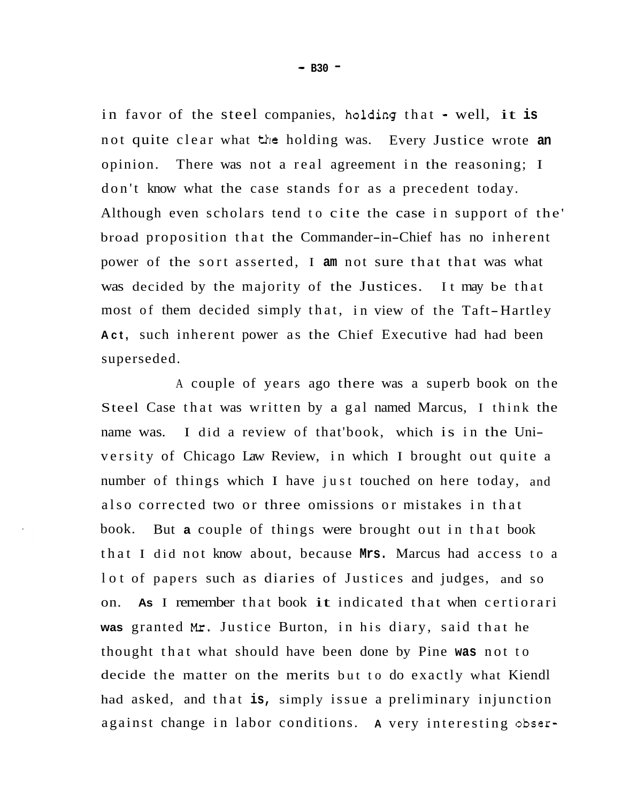in favor of the steel companies, holding that - well, it is not quite clear what the holding was. Every Justice wrote **an**  opinion. There was not a real agreement in the reasoning; I don't know what the case stands for as a precedent today. Although even scholars tend to cite the case in support of the' broad proposition that the Commander-in-Chief has no inherent power of the sort asserted, I **am** not sure that that was what was decided by the majority of the Justices. It may be that most of them decided simply that, in view of the Taft-Hartley **Act,** such inherent power as the Chief Executive had had been superseded.

A couple of years ago there was a superb book on the Steel Case that was written by a gal named Marcus, I think the name was. I did a review of that'book, which is in the University of Chicago Law Review, in which I brought out quite a number of things which I have just touched on here today, and also corrected two or three omissions or mistakes in that book. But **a** couple of things were brought out in that book that I did not know about, because **Mrs.** Marcus had access to a lot of papers such as diaries of Justices and judges, and so on. **As** I remember that book it indicated that when certiorari **was** granted **Mr.** Justice Burton, in his diary, said that he thought that what should have been done by Pine **was** not to decide the matter on the merits but to do exactly what Kiendl had asked, and that **is,** simply issue a preliminary injunction against change in labor conditions. **A** very interesting obser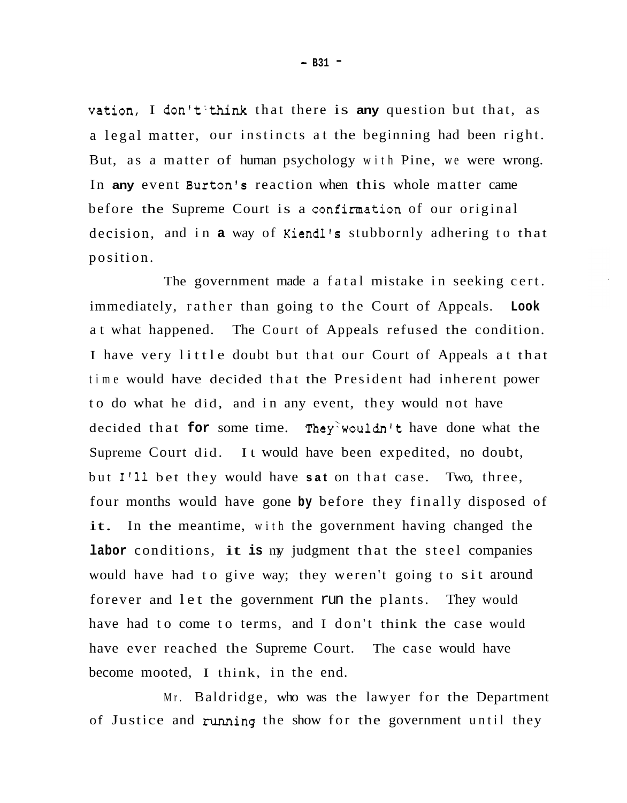vation, I don't'think that there is **any** question but that, as a legal matter, our instincts at the beginning had been right. But, as a matter of human psychology with Pine, we were wrong. In **any** event Burton's reaction when this whole matter came before the Supreme Court is a confirmation of our original decision, and in **a** way of Kiendl's stubbornly adhering to that position.

The government made a fatal mistake in seeking cert. immediately, rather than going to the Court of Appeals. **Look**  at what happened. The Court of Appeals refused the condition. I have very little doubt but that our Court of Appeals at that time would have decided that the President had inherent power to do what he did, and in any event, they would not have decided that **for** some time. They'wouldn't have done what the Supreme Court did. It would have been expedited, no doubt, but **1'11** bet they would have **sat** on that case. Two, three, four months would have gone **by** before they finally disposed of it. In the meantime, with the government having changed the **labor** conditions, it **is** my judgment that the steel companies would have had to give way; they weren't going to sit around forever and let the government run the plants. They would have had to come to terms, and I don't think the case would have ever reached the Supreme Court. The case would have become mooted, I think, in the end.

Mr. Baldridge, who was the lawyer for the Department of Justice and running the show for the government until they

- **B31** -